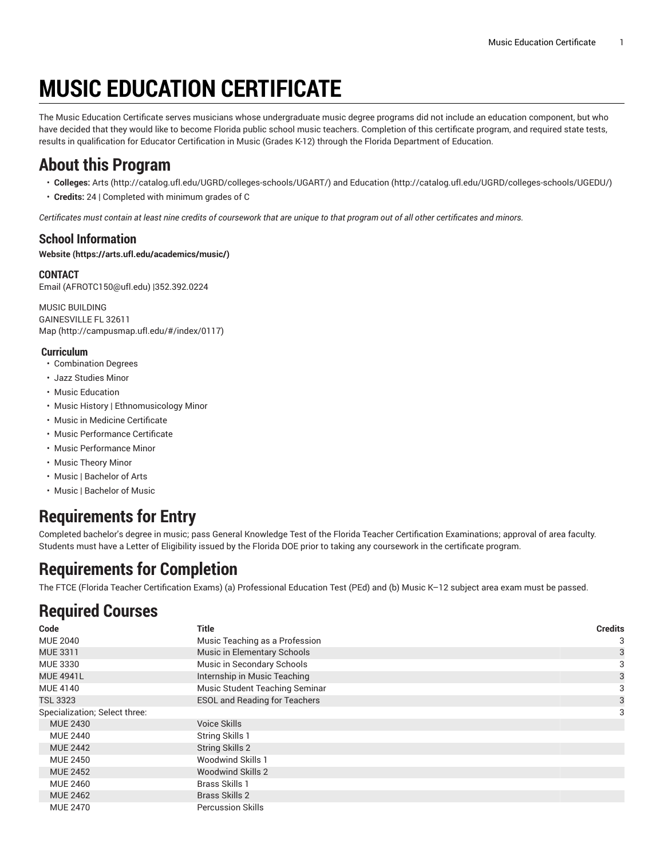# **MUSIC EDUCATION CERTIFICATE**

The Music Education Certificate serves musicians whose undergraduate music degree programs did not include an education component, but who have decided that they would like to become Florida public school music teachers. Completion of this certificate program, and required state tests, results in qualification for Educator Certification in Music (Grades K-12) through the Florida Department of Education.

### **About this Program**

- **Colleges:** [Arts](http://catalog.ufl.edu/UGRD/colleges-schools/UGART/) ([http://catalog.ufl.edu/UGRD/colleges-schools/UGART/\)](http://catalog.ufl.edu/UGRD/colleges-schools/UGART/) and [Education](http://catalog.ufl.edu/UGRD/colleges-schools/UGEDU/) ([http://catalog.ufl.edu/UGRD/colleges-schools/UGEDU/\)](http://catalog.ufl.edu/UGRD/colleges-schools/UGEDU/)
- **Credits:** 24 | Completed with minimum grades of C

Certificates must contain at least nine credits of coursework that are unique to that program out of all other certificates and minors.

### **School Information**

**[Website](https://arts.ufl.edu/academics/music/) ([https://arts.ufl.edu/academics/music/\)](https://arts.ufl.edu/academics/music/)**

#### **CONTACT** [Email](mailto:AFROTC150@ufl.edu) (<AFROTC150@ufl.edu>) |352.392.0224

MUSIC BUILDING GAINESVILLE FL 32611 [Map](http://campusmap.ufl.edu/#/index/0117) ([http://campusmap.ufl.edu/#/index/0117\)](http://campusmap.ufl.edu/#/index/0117)

#### **Curriculum**

- Combination Degrees
- Jazz Studies Minor
- Music Education
- Music History | Ethnomusicology Minor
- Music in Medicine Certificate
- Music Performance Certificate
- Music Performance Minor
- Music Theory Minor
- Music | Bachelor of Arts
- Music | Bachelor of Music

## **Requirements for Entry**

Completed bachelor's degree in music; pass General Knowledge Test of the Florida Teacher Certification Examinations; approval of area faculty. Students must have a Letter of Eligibility issued by the Florida DOE prior to taking any coursework in the certificate program.

### **Requirements for Completion**

The FTCE (Florida Teacher Certification Exams) (a) Professional Education Test (PEd) and (b) Music K–12 subject area exam must be passed.

## **Required Courses**

| Code                          | <b>Title</b>                         | <b>Credits</b> |
|-------------------------------|--------------------------------------|----------------|
| <b>MUE 2040</b>               | Music Teaching as a Profession       | 3              |
| MUE 3311                      | Music in Elementary Schools          | 3              |
| <b>MUE 3330</b>               | Music in Secondary Schools           | 3              |
| <b>MUE 4941L</b>              | Internship in Music Teaching         | 3              |
| <b>MUE 4140</b>               | Music Student Teaching Seminar       | 3              |
| <b>TSL 3323</b>               | <b>ESOL and Reading for Teachers</b> | 3              |
| Specialization; Select three: |                                      | 3              |
| <b>MUE 2430</b>               | Voice Skills                         |                |
| <b>MUE 2440</b>               | <b>String Skills 1</b>               |                |
| <b>MUE 2442</b>               | <b>String Skills 2</b>               |                |
| <b>MUE 2450</b>               | <b>Woodwind Skills 1</b>             |                |
| <b>MUE 2452</b>               | <b>Woodwind Skills 2</b>             |                |
| <b>MUE 2460</b>               | <b>Brass Skills 1</b>                |                |
| <b>MUE 2462</b>               | <b>Brass Skills 2</b>                |                |
| <b>MUE 2470</b>               | <b>Percussion Skills</b>             |                |